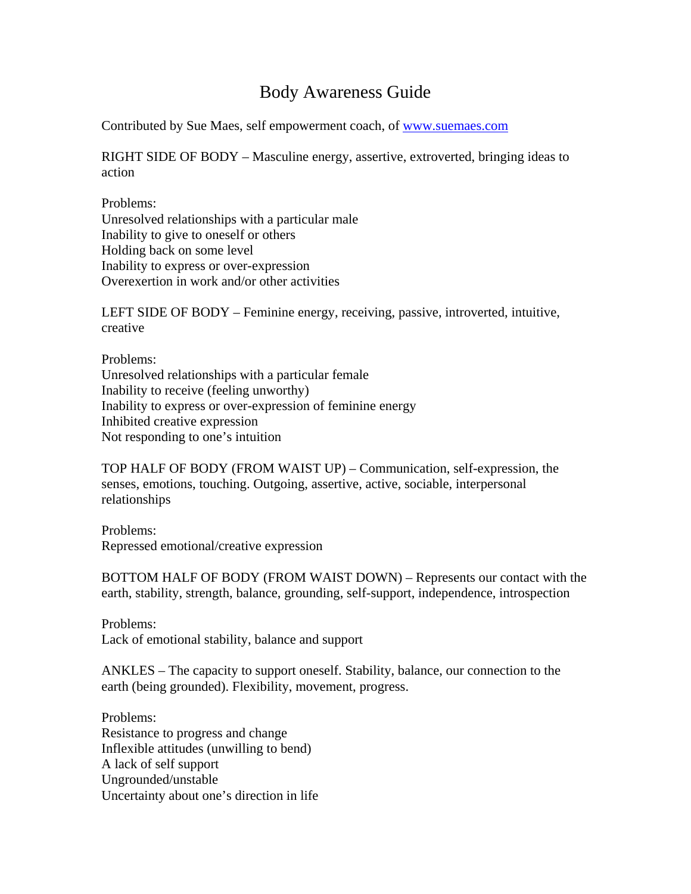# Body Awareness Guide

Contributed by Sue Maes, self empowerment coach, of [www.suemaes.com](http://www.suemaes.com/)

RIGHT SIDE OF BODY – Masculine energy, assertive, extroverted, bringing ideas to action

Problems: Unresolved relationships with a particular male Inability to give to oneself or others Holding back on some level Inability to express or over-expression Overexertion in work and/or other activities

LEFT SIDE OF BODY – Feminine energy, receiving, passive, introverted, intuitive, creative

Problems: Unresolved relationships with a particular female Inability to receive (feeling unworthy) Inability to express or over-expression of feminine energy Inhibited creative expression Not responding to one's intuition

TOP HALF OF BODY (FROM WAIST UP) – Communication, self-expression, the senses, emotions, touching. Outgoing, assertive, active, sociable, interpersonal relationships

Problems: Repressed emotional/creative expression

BOTTOM HALF OF BODY (FROM WAIST DOWN) – Represents our contact with the earth, stability, strength, balance, grounding, self-support, independence, introspection

Problems: Lack of emotional stability, balance and support

ANKLES – The capacity to support oneself. Stability, balance, our connection to the earth (being grounded). Flexibility, movement, progress.

Problems: Resistance to progress and change Inflexible attitudes (unwilling to bend) A lack of self support Ungrounded/unstable Uncertainty about one's direction in life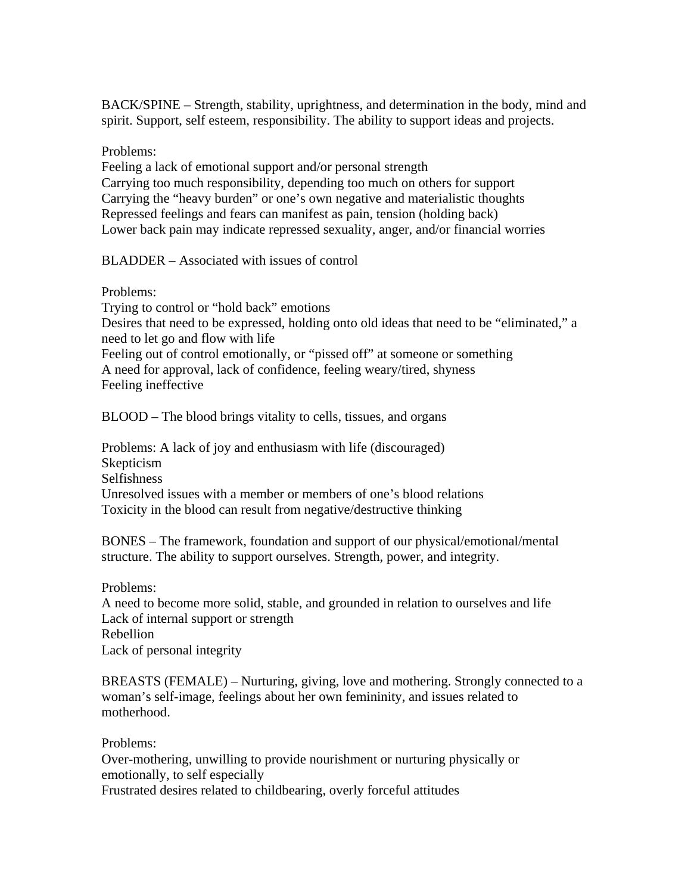BACK/SPINE – Strength, stability, uprightness, and determination in the body, mind and spirit. Support, self esteem, responsibility. The ability to support ideas and projects.

## Problems:

Feeling a lack of emotional support and/or personal strength Carrying too much responsibility, depending too much on others for support Carrying the "heavy burden" or one's own negative and materialistic thoughts Repressed feelings and fears can manifest as pain, tension (holding back) Lower back pain may indicate repressed sexuality, anger, and/or financial worries

## BLADDER – Associated with issues of control

Problems:

Trying to control or "hold back" emotions Desires that need to be expressed, holding onto old ideas that need to be "eliminated," a need to let go and flow with life Feeling out of control emotionally, or "pissed off" at someone or something A need for approval, lack of confidence, feeling weary/tired, shyness Feeling ineffective

BLOOD – The blood brings vitality to cells, tissues, and organs

Problems: A lack of joy and enthusiasm with life (discouraged) Skepticism Selfishness Unresolved issues with a member or members of one's blood relations Toxicity in the blood can result from negative/destructive thinking

BONES – The framework, foundation and support of our physical/emotional/mental structure. The ability to support ourselves. Strength, power, and integrity.

Problems:

A need to become more solid, stable, and grounded in relation to ourselves and life Lack of internal support or strength Rebellion Lack of personal integrity

BREASTS (FEMALE) – Nurturing, giving, love and mothering. Strongly connected to a woman's self-image, feelings about her own femininity, and issues related to motherhood.

## Problems:

Over-mothering, unwilling to provide nourishment or nurturing physically or emotionally, to self especially

Frustrated desires related to childbearing, overly forceful attitudes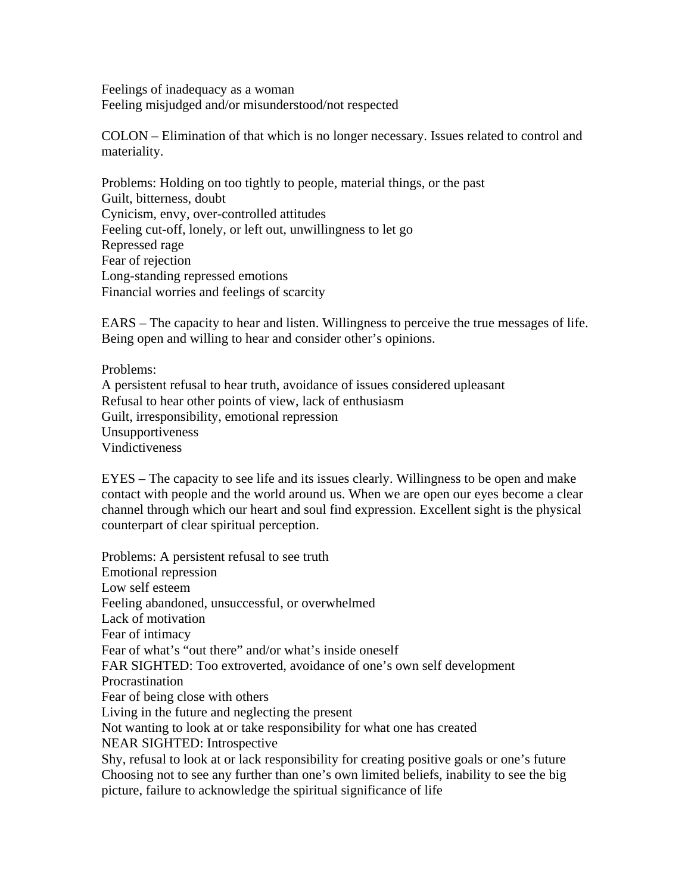Feelings of inadequacy as a woman Feeling misjudged and/or misunderstood/not respected

COLON – Elimination of that which is no longer necessary. Issues related to control and materiality.

Problems: Holding on too tightly to people, material things, or the past Guilt, bitterness, doubt Cynicism, envy, over-controlled attitudes Feeling cut-off, lonely, or left out, unwillingness to let go Repressed rage Fear of rejection Long-standing repressed emotions Financial worries and feelings of scarcity

EARS – The capacity to hear and listen. Willingness to perceive the true messages of life. Being open and willing to hear and consider other's opinions.

Problems: A persistent refusal to hear truth, avoidance of issues considered upleasant Refusal to hear other points of view, lack of enthusiasm Guilt, irresponsibility, emotional repression Unsupportiveness Vindictiveness

EYES – The capacity to see life and its issues clearly. Willingness to be open and make contact with people and the world around us. When we are open our eyes become a clear channel through which our heart and soul find expression. Excellent sight is the physical counterpart of clear spiritual perception.

Problems: A persistent refusal to see truth Emotional repression Low self esteem Feeling abandoned, unsuccessful, or overwhelmed Lack of motivation Fear of intimacy Fear of what's "out there" and/or what's inside oneself FAR SIGHTED: Too extroverted, avoidance of one's own self development Procrastination Fear of being close with others Living in the future and neglecting the present Not wanting to look at or take responsibility for what one has created NEAR SIGHTED: Introspective Shy, refusal to look at or lack responsibility for creating positive goals or one's future Choosing not to see any further than one's own limited beliefs, inability to see the big picture, failure to acknowledge the spiritual significance of life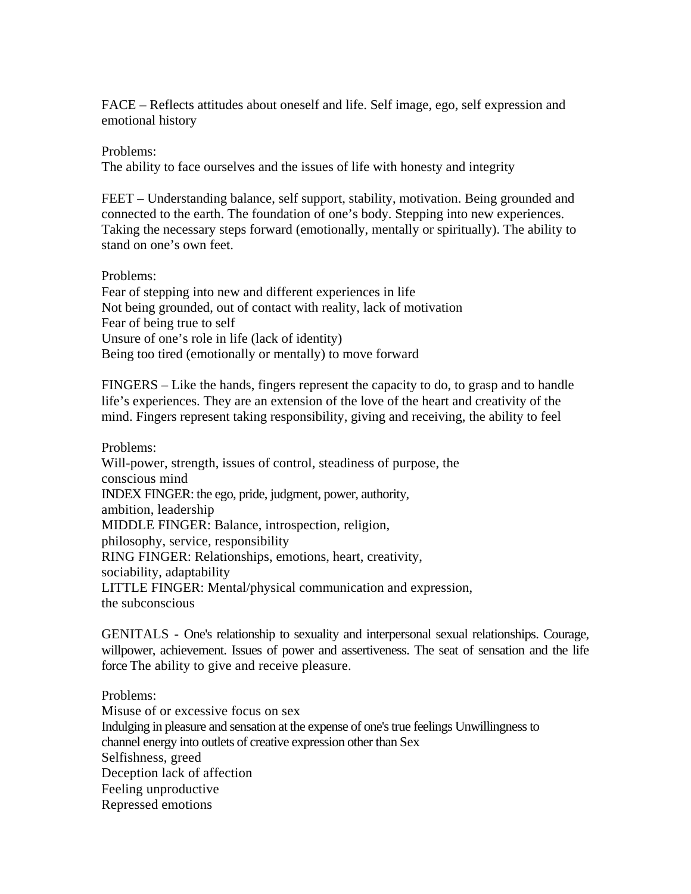FACE – Reflects attitudes about oneself and life. Self image, ego, self expression and emotional history

### Problems:

The ability to face ourselves and the issues of life with honesty and integrity

FEET – Understanding balance, self support, stability, motivation. Being grounded and connected to the earth. The foundation of one's body. Stepping into new experiences. Taking the necessary steps forward (emotionally, mentally or spiritually). The ability to stand on one's own feet.

#### Problems:

Fear of stepping into new and different experiences in life Not being grounded, out of contact with reality, lack of motivation Fear of being true to self Unsure of one's role in life (lack of identity) Being too tired (emotionally or mentally) to move forward

FINGERS – Like the hands, fingers represent the capacity to do, to grasp and to handle life's experiences. They are an extension of the love of the heart and creativity of the mind. Fingers represent taking responsibility, giving and receiving, the ability to feel

Problems: Will-power, strength, issues of control, steadiness of purpose, the conscious mind INDEX FINGER: the ego, pride, judgment, power, authority, ambition, leadership MIDDLE FINGER: Balance, introspection, religion, philosophy, service, responsibility RING FINGER: Relationships, emotions, heart, creativity, sociability, adaptability LITTLE FINGER: Mental/physical communication and expression, the subconscious

GENITALS **-** One's relationship to sexuality and interpersonal sexual relationships. Courage, willpower, achievement. Issues of power and assertiveness. The seat of sensation and the life force The ability to give and receive pleasure.

Problems: Misuse of or excessive focus on sex Indulging in pleasure and sensation at the expense of one's true feelings Unwillingness to channel energy into outlets of creative expression other than Sex Selfishness, greed Deception lack of affection Feeling unproductive Repressed emotions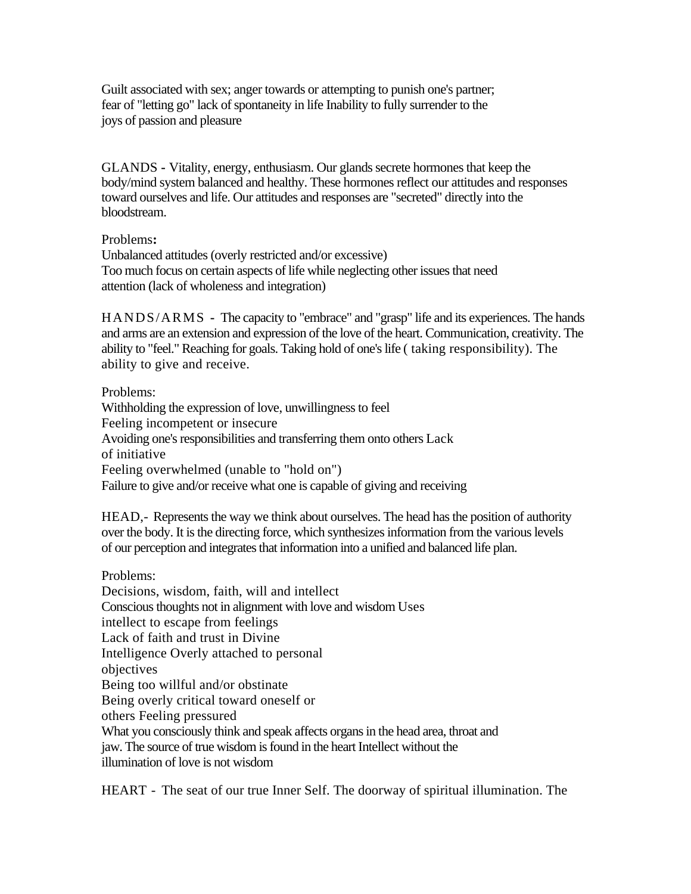Guilt associated with sex; anger towards or attempting to punish one's partner; fear of "letting go" lack of spontaneity in life Inability to fully surrender to the joys of passion and pleasure

GLANDS **-** Vitality, energy, enthusiasm. Our glands secrete hormones that keep the body/mind system balanced and healthy. These hormones reflect our attitudes and responses toward ourselves and life. Our attitudes and responses are "secreted" directly into the bloodstream.

### Problems**:**

Unbalanced attitudes (overly restricted and/or excessive) Too much focus on certain aspects of life while neglecting other issues that need attention (lack of wholeness and integration)

HANDS/ARMS **-** The capacity to "embrace" and "grasp" life and its experiences. The hands and arms are an extension and expression of the love of the heart. Communication, creativity. The ability to "feel." Reaching for goals. Taking hold of one's life ( taking responsibility). The ability to give and receive.

Problems: Withholding the expression of love, unwillingness to feel Feeling incompetent or insecure Avoiding one's responsibilities and transferring them onto others Lack of initiative Feeling overwhelmed (unable to "hold on") Failure to give and/or receive what one is capable of giving and receiving

HEAD,- Represents the way we think about ourselves. The head has the position of authority over the body. It is the directing force, which synthesizes information from the various levels of our perception and integrates that information into a unified and balanced life plan.

Problems: Decisions, wisdom, faith, will and intellect Conscious thoughts not in alignment with love and wisdom Uses intellect to escape from feelings Lack of faith and trust in Divine Intelligence Overly attached to personal objectives Being too willful and/or obstinate Being overly critical toward oneself or others Feeling pressured What you consciously think and speak affects organs in the head area, throat and jaw. The source of true wisdom is found in the heart Intellect without the illumination of love is not wisdom

HEART - The seat of our true Inner Self. The doorway of spiritual illumination. The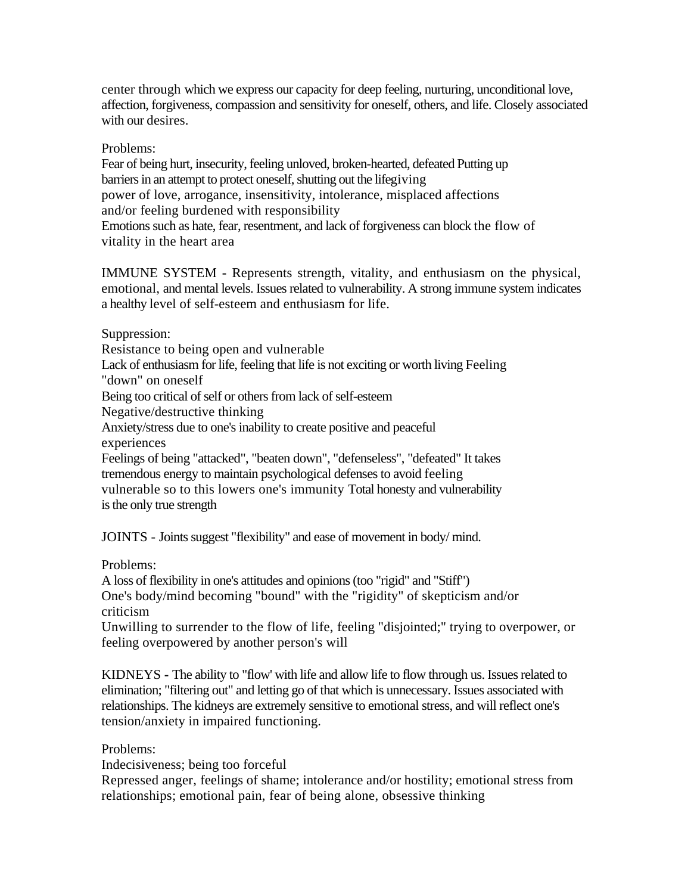center through which we express our capacity for deep feeling, nurturing, unconditional love, affection, forgiveness, compassion and sensitivity for oneself, others, and life. Closely associated with our desires.

## Problems:

Fear of being hurt, insecurity, feeling unloved, broken-hearted, defeated Putting up barriers in an attempt to protect oneself, shutting out the lifegiving power of love, arrogance, insensitivity, intolerance, misplaced affections and/or feeling burdened with responsibility Emotions such as hate, fear, resentment, and lack of forgiveness can block the flow of vitality in the heart area

IMMUNE SYSTEM **-** Represents strength, vitality, and enthusiasm on the physical, emotional, and mental levels. Issues related to vulnerability. A strong immune system indicates a healthy level of self-esteem and enthusiasm for life.

Suppression:

Resistance to being open and vulnerable

Lack of enthusiasm for life, feeling that life is not exciting or worth living Feeling

"down" on oneself

Being too critical of self or others from lack of self-esteem

Negative/destructive thinking

Anxiety/stress due to one's inability to create positive and peaceful experiences

Feelings of being "attacked", "beaten down", "defenseless", "defeated" It takes tremendous energy to maintain psychological defenses to avoid feeling vulnerable so to this lowers one's immunity Total honesty and vulnerability is the only true strength

JOINTS - Joints suggest "flexibility" and ease of movement in body/ mind.

## Problems:

A loss of flexibility in one's attitudes and opinions (too "rigid" and "Stiff") One's body/mind becoming "bound" with the "rigidity" of skepticism and/or criticism

Unwilling to surrender to the flow of life, feeling "disjointed;" trying to overpower, or feeling overpowered by another person's will

KIDNEYS **-** The ability to "flow' with life and allow life to flow through us. Issues related to elimination; "filtering out" and letting go of that which is unnecessary. Issues associated with relationships. The kidneys are extremely sensitive to emotional stress, and will reflect one's tension/anxiety in impaired functioning.

## Problems:

Indecisiveness; being too forceful

Repressed anger, feelings of shame; intolerance and/or hostility; emotional stress from relationships; emotional pain, fear of being alone, obsessive thinking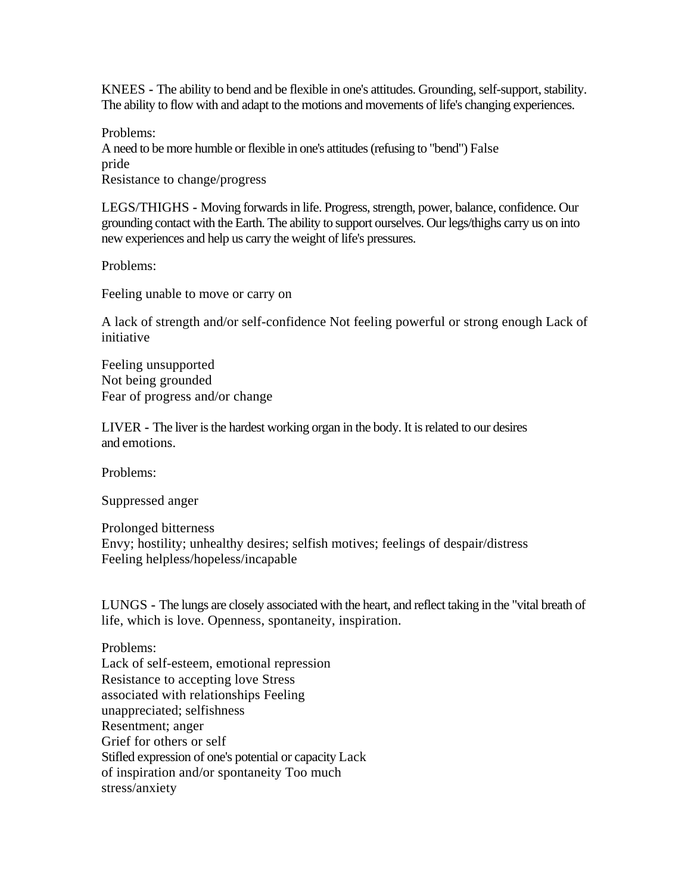KNEES **-** The ability to bend and be flexible in one's attitudes. Grounding, self-support, stability. The ability to flow with and adapt to the motions and movements of life's changing experiences.

Problems: A need to be more humble or flexible in one's attitudes (refusing to "bend") False pride Resistance to change/progress

LEGS/THIGHS **-** Moving forwards in life. Progress, strength, power, balance, confidence. Our grounding contact with the Earth. The ability to support ourselves. Our legs/thighs carry us on into new experiences and help us carry the weight of life's pressures.

Problems:

Feeling unable to move or carry on

A lack of strength and/or self-confidence Not feeling powerful or strong enough Lack of initiative

Feeling unsupported Not being grounded Fear of progress and/or change

LIVER **-** The liver is the hardest working organ in the body. It is related to our desires and emotions.

Problems:

Suppressed anger

Prolonged bitterness Envy; hostility; unhealthy desires; selfish motives; feelings of despair/distress Feeling helpless/hopeless/incapable

LUNGS **-** The lungs are closely associated with the heart, and reflect taking in the "vital breath of life, which is love. Openness, spontaneity, inspiration.

Problems: Lack of self-esteem, emotional repression Resistance to accepting love Stress associated with relationships Feeling unappreciated; selfishness Resentment; anger Grief for others or self Stifled expression of one's potential or capacity Lack of inspiration and/or spontaneity Too much stress/anxiety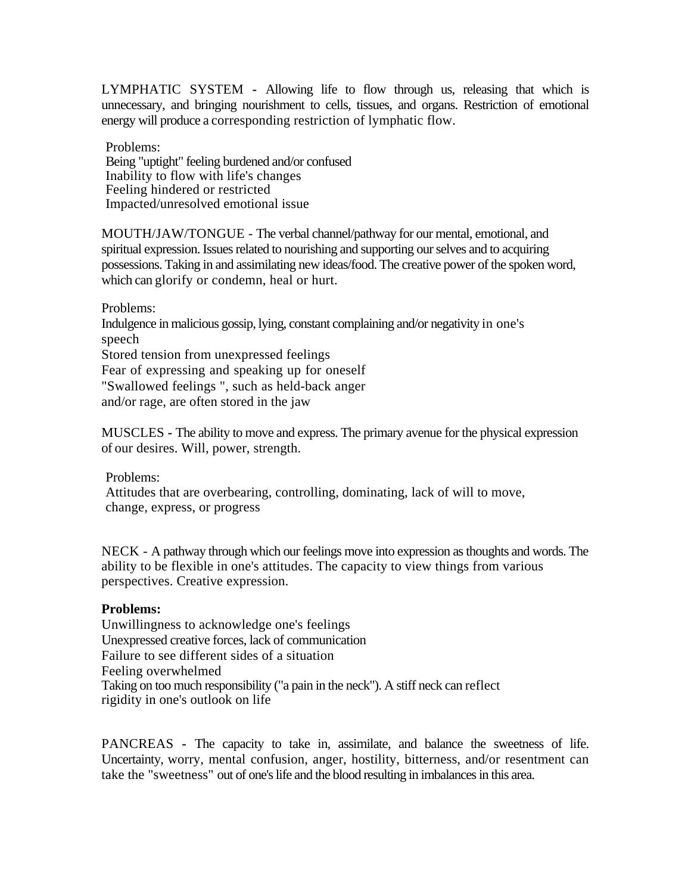LYMPHATIC SYSTEM **-** Allowing life to flow through us, releasing that which is unnecessary, and bringing nourishment to cells, tissues, and organs. Restriction of emotional energy will produce a corresponding restriction of lymphatic flow.

Problems: Being "uptight" feeling burdened and/or confused Inability to flow with life's changes Feeling hindered or restricted Impacted/unresolved emotional issue

MOUTH/JAW/TONGUE - The verbal channel/pathway for our mental, emotional, and spiritual expression. Issues related to nourishing and supporting our selves and to acquiring possessions. Taking in and assimilating new ideas/food. The creative power of the spoken word, which can glorify or condemn, heal or hurt.

Problems: Indulgence in malicious gossip, lying, constant complaining and/or negativity in one's speech Stored tension from unexpressed feelings Fear of expressing and speaking up for oneself "Swallowed feelings ", such as held-back anger and/or rage, are often stored in the jaw

MUSCLES **-** The ability to move and express. The primary avenue for the physical expression of our desires. Will, power, strength.

Problems:

Attitudes that are overbearing, controlling, dominating, lack of will to move, change, express, or progress

NECK - A pathway through which our feelings move into expression as thoughts and words. The ability to be flexible in one's attitudes. The capacity to view things from various perspectives. Creative expression.

### **Problems:**

Unwillingness to acknowledge one's feelings Unexpressed creative forces, lack of communication Failure to see different sides of a situation Feeling overwhelmed Taking on too much responsibility ("a pain in the neck"). A stiff neck can reflect rigidity in one's outlook on life

PANCREAS **-** The capacity to take in, assimilate, and balance the sweetness of life. Uncertainty, worry, mental confusion, anger, hostility, bitterness, and/or resentment can take the "sweetness" out of one's life and the blood resulting in imbalances in this area.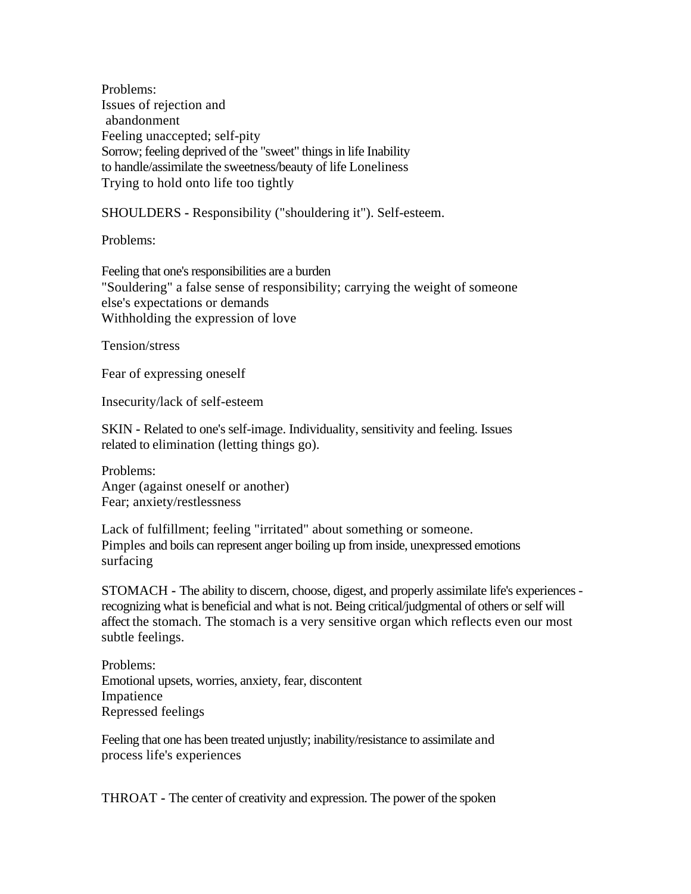Problems: Issues of rejection and abandonment Feeling unaccepted; self-pity Sorrow; feeling deprived of the "sweet" things in life Inability to handle/assimilate the sweetness/beauty of life Loneliness Trying to hold onto life too tightly

SHOULDERS **-** Responsibility ("shouldering it"). Self-esteem.

Problems:

Feeling that one's responsibilities are a burden "Souldering" a false sense of responsibility; carrying the weight of someone else's expectations or demands Withholding the expression of love

Tension/stress

Fear of expressing oneself

Insecurity/lack of self-esteem

SKIN **-** Related to one's self-image. Individuality, sensitivity and feeling. Issues related to elimination (letting things go).

Problems: Anger (against oneself or another) Fear; anxiety/restlessness

Lack of fulfillment; feeling "irritated" about something or someone. Pimples and boils can represent anger boiling up from inside, unexpressed emotions surfacing

STOMACH **-** The ability to discern, choose, digest, and properly assimilate life's experiences recognizing what is beneficial and what is not. Being critical/judgmental of others or self will affect the stomach. The stomach is a very sensitive organ which reflects even our most subtle feelings.

Problems: Emotional upsets, worries, anxiety, fear, discontent Impatience Repressed feelings

Feeling that one has been treated unjustly; inability/resistance to assimilate and process life's experiences

THROAT **-** The center of creativity and expression. The power of the spoken